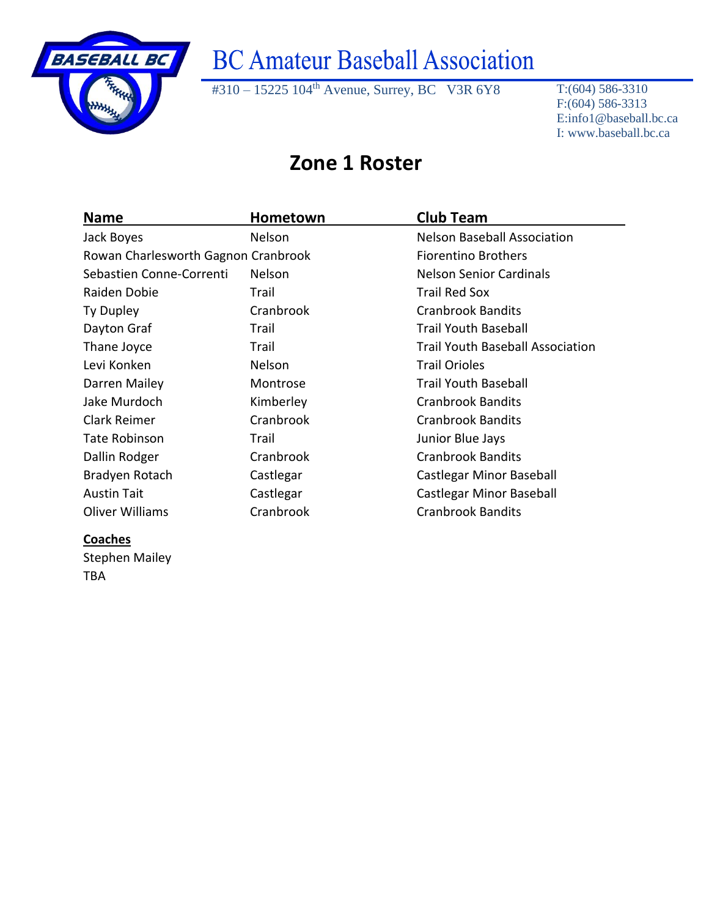

#310 – 15225 104<sup>th</sup> Avenue, Surrey, BC V3R 6Y8 T:(604) 586-3310

F:(604) 586-3313 E:info1@baseball.bc.ca I: www.baseball.bc.ca

#### **Zone 1 Roster**

| <b>Name</b>                         | Hometown      | <b>Club Team</b>                        |
|-------------------------------------|---------------|-----------------------------------------|
| Jack Boyes                          | Nelson        | <b>Nelson Baseball Association</b>      |
| Rowan Charlesworth Gagnon Cranbrook |               | <b>Fiorentino Brothers</b>              |
| Sebastien Conne-Correnti            | <b>Nelson</b> | <b>Nelson Senior Cardinals</b>          |
| Raiden Dobie                        | Trail         | <b>Trail Red Sox</b>                    |
| Ty Dupley                           | Cranbrook     | <b>Cranbrook Bandits</b>                |
| Dayton Graf                         | Trail         | <b>Trail Youth Baseball</b>             |
| Thane Joyce                         | Trail         | <b>Trail Youth Baseball Association</b> |
| Levi Konken                         | Nelson        | <b>Trail Orioles</b>                    |
| Darren Mailey                       | Montrose      | Trail Youth Baseball                    |
| Jake Murdoch                        | Kimberley     | <b>Cranbrook Bandits</b>                |
| <b>Clark Reimer</b>                 | Cranbrook     | <b>Cranbrook Bandits</b>                |
| Tate Robinson                       | Trail         | Junior Blue Jays                        |
| Dallin Rodger                       | Cranbrook     | <b>Cranbrook Bandits</b>                |
| Bradyen Rotach                      | Castlegar     | Castlegar Minor Baseball                |
| <b>Austin Tait</b>                  | Castlegar     | Castlegar Minor Baseball                |
| Oliver Williams                     | Cranbrook     | <b>Cranbrook Bandits</b>                |

#### **Coaches**

Stephen Mailey TBA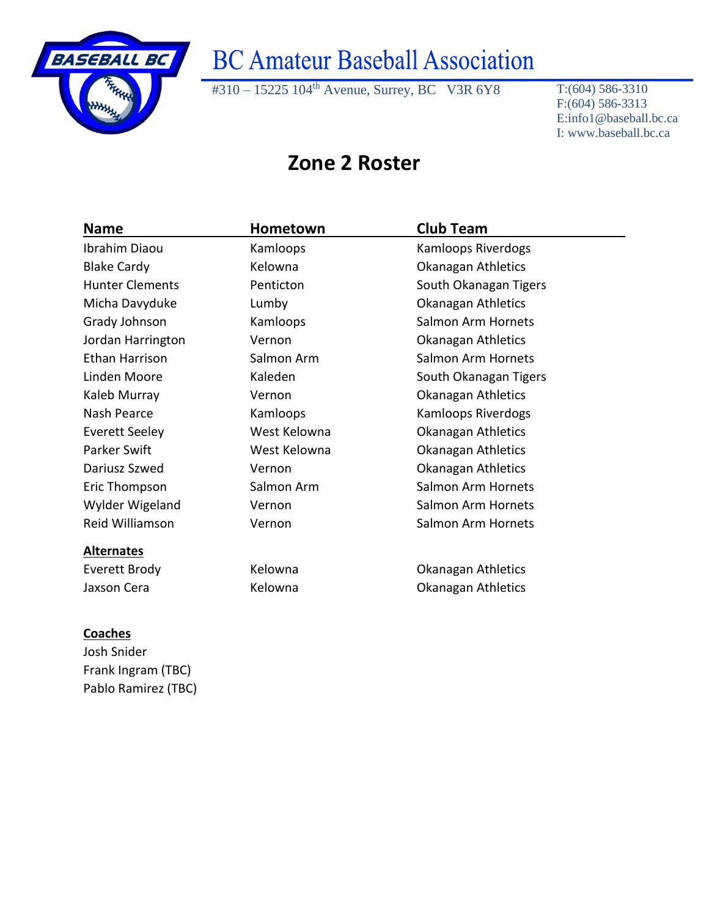

#310 – 15225 104<sup>th</sup> Avenue, Surrey, BC V3R 6Y8 T:(604) 586-3310

F:(604) 586-3313 E:info1@baseball.bc.ca I: www.baseball.bc.ca

### **Zone 2 Roster**

| <b>Name</b>            | Hometown     | <b>Club Team</b>      |
|------------------------|--------------|-----------------------|
| Ibrahim Diaou          | Kamloops     | Kamloops Riverdogs    |
| <b>Blake Cardy</b>     | Kelowna      | Okanagan Athletics    |
| <b>Hunter Clements</b> | Penticton    | South Okanagan Tigers |
| Micha Davyduke         | Lumby        | Okanagan Athletics    |
| Grady Johnson          | Kamloops     | Salmon Arm Hornets    |
| Jordan Harrington      | Vernon       | Okanagan Athletics    |
| Ethan Harrison         | Salmon Arm   | Salmon Arm Hornets    |
| Linden Moore           | Kaleden      | South Okanagan Tigers |
| Kaleb Murray           | Vernon       | Okanagan Athletics    |
| Nash Pearce            | Kamloops     | Kamloops Riverdogs    |
| Everett Seeley         | West Kelowna | Okanagan Athletics    |
| Parker Swift           | West Kelowna | Okanagan Athletics    |
| Dariusz Szwed          | Vernon       | Okanagan Athletics    |
| Eric Thompson          | Salmon Arm   | Salmon Arm Hornets    |
| Wylder Wigeland        | Vernon       | Salmon Arm Hornets    |
| Reid Williamson        | Vernon       | Salmon Arm Hornets    |
| <b>Alternates</b>      |              |                       |
| Everett Brody          | Kelowna      | Okanagan Athletics    |
| Jaxson Cera            | Kelowna      | Okanagan Athletics    |

#### **Coaches**

Josh Snider Frank Ingram (TBC) Pablo Ramirez (TBC)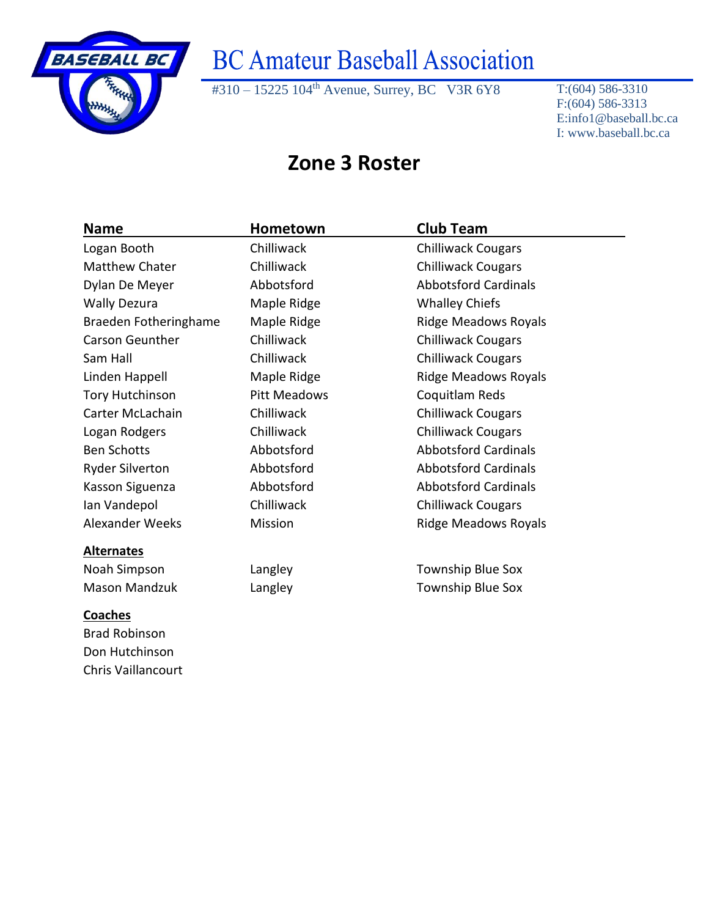

Chris Vaillancourt

## **BC Amateur Baseball Association**

#310 – 15225 104<sup>th</sup> Avenue, Surrey, BC V3R 6Y8 T:(604) 586-3310

F:(604) 586-3313 E:info1@baseball.bc.ca I: www.baseball.bc.ca

### **Zone 3 Roster**

| <b>Name</b>            | Hometown            | <b>Club Team</b>            |  |
|------------------------|---------------------|-----------------------------|--|
| Logan Booth            | Chilliwack          | <b>Chilliwack Cougars</b>   |  |
| <b>Matthew Chater</b>  | Chilliwack          | <b>Chilliwack Cougars</b>   |  |
| Dylan De Meyer         | Abbotsford          | <b>Abbotsford Cardinals</b> |  |
| <b>Wally Dezura</b>    | Maple Ridge         | <b>Whalley Chiefs</b>       |  |
| Braeden Fotheringhame  | Maple Ridge         | <b>Ridge Meadows Royals</b> |  |
| <b>Carson Geunther</b> | Chilliwack          | <b>Chilliwack Cougars</b>   |  |
| Sam Hall               | Chilliwack          | <b>Chilliwack Cougars</b>   |  |
| Linden Happell         | Maple Ridge         | <b>Ridge Meadows Royals</b> |  |
| <b>Tory Hutchinson</b> | <b>Pitt Meadows</b> | Coquitlam Reds              |  |
| Carter McLachain       | Chilliwack          | <b>Chilliwack Cougars</b>   |  |
| Logan Rodgers          | Chilliwack          | <b>Chilliwack Cougars</b>   |  |
| <b>Ben Schotts</b>     | Abbotsford          | <b>Abbotsford Cardinals</b> |  |
| <b>Ryder Silverton</b> | Abbotsford          | <b>Abbotsford Cardinals</b> |  |
| Kasson Siguenza        | Abbotsford          | <b>Abbotsford Cardinals</b> |  |
| Ian Vandepol           | Chilliwack          | <b>Chilliwack Cougars</b>   |  |
| <b>Alexander Weeks</b> | Mission             | <b>Ridge Meadows Royals</b> |  |
| <b>Alternates</b>      |                     |                             |  |
| Noah Simpson           | Langley             | <b>Township Blue Sox</b>    |  |
| <b>Mason Mandzuk</b>   | Langley             | <b>Township Blue Sox</b>    |  |
| <b>Coaches</b>         |                     |                             |  |
| <b>Brad Robinson</b>   |                     |                             |  |
| Don Hutchinson         |                     |                             |  |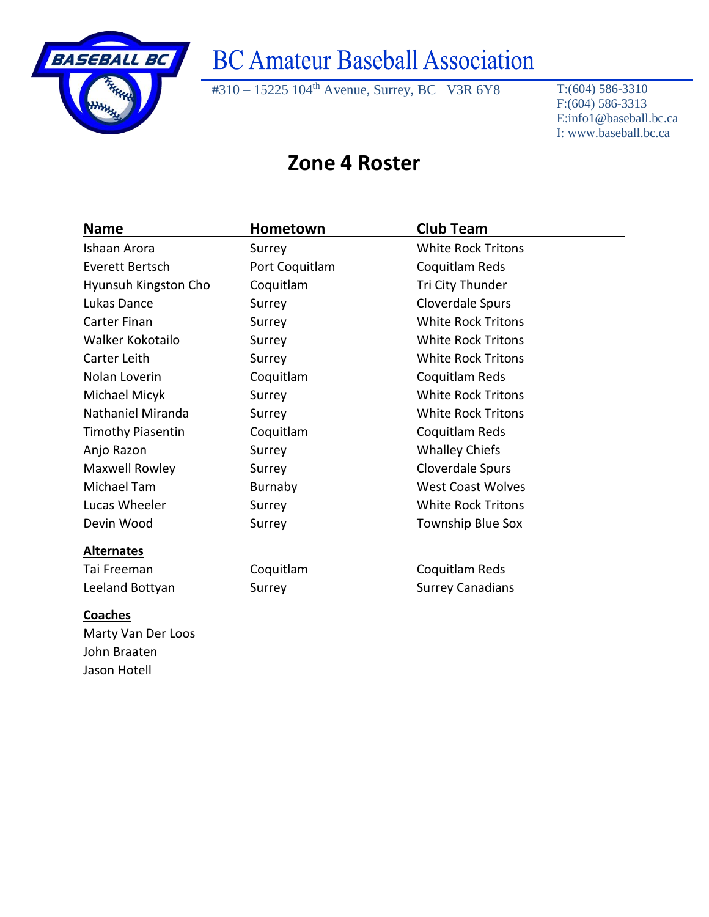

Jason Hotell

# **BC Amateur Baseball Association**

#310 – 15225 104<sup>th</sup> Avenue, Surrey, BC V3R 6Y8 T:(604) 586-3310

F:(604) 586-3313 E:info1@baseball.bc.ca I: www.baseball.bc.ca

### **Zone 4 Roster**

| Name                     | Hometown       | <b>Club Team</b>          |  |
|--------------------------|----------------|---------------------------|--|
| Ishaan Arora             | Surrey         | <b>White Rock Tritons</b> |  |
| Everett Bertsch          | Port Coquitlam | Coquitlam Reds            |  |
| Hyunsuh Kingston Cho     | Coquitlam      | Tri City Thunder          |  |
| Lukas Dance              | Surrey         | Cloverdale Spurs          |  |
| <b>Carter Finan</b>      | Surrey         | <b>White Rock Tritons</b> |  |
| Walker Kokotailo         | Surrey         | <b>White Rock Tritons</b> |  |
| Carter Leith             | Surrey         | <b>White Rock Tritons</b> |  |
| Nolan Loverin            | Coquitlam      | Coquitlam Reds            |  |
| Michael Micyk            | Surrey         | <b>White Rock Tritons</b> |  |
| Nathaniel Miranda        | Surrey         | <b>White Rock Tritons</b> |  |
| <b>Timothy Piasentin</b> | Coquitlam      | Coquitlam Reds            |  |
| Anjo Razon               | Surrey         | <b>Whalley Chiefs</b>     |  |
| Maxwell Rowley           | Surrey         | Cloverdale Spurs          |  |
| Michael Tam              | Burnaby        | <b>West Coast Wolves</b>  |  |
| Lucas Wheeler            | Surrey         | <b>White Rock Tritons</b> |  |
| Devin Wood               | Surrey         | <b>Township Blue Sox</b>  |  |
| <b>Alternates</b>        |                |                           |  |
| Tai Freeman              | Coquitlam      | Coquitlam Reds            |  |
| Leeland Bottyan          | Surrey         | <b>Surrey Canadians</b>   |  |
| <b>Coaches</b>           |                |                           |  |
| Marty Van Der Loos       |                |                           |  |
| John Braaten             |                |                           |  |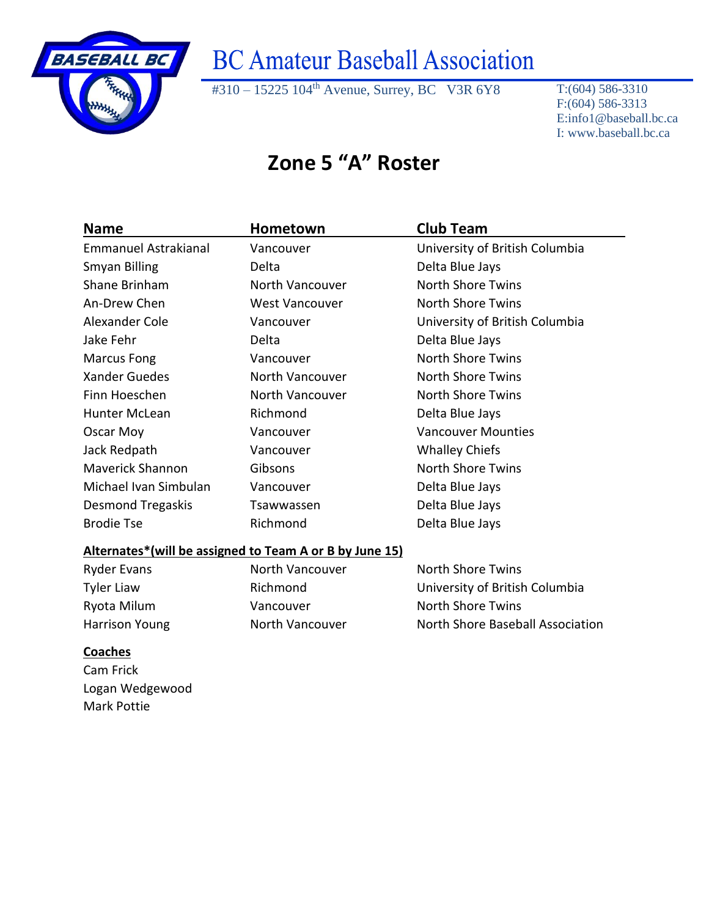

#310 – 15225 104<sup>th</sup> Avenue, Surrey, BC V3R 6Y8 T:(604) 586-3310

F:(604) 586-3313 E:info1@baseball.bc.ca I: www.baseball.bc.ca

### **Zone 5 "A" Roster**

| <b>Name</b>                                             | Hometown              | <b>Club Team</b>                 |  |
|---------------------------------------------------------|-----------------------|----------------------------------|--|
| Emmanuel Astrakianal                                    | Vancouver             | University of British Columbia   |  |
| Smyan Billing                                           | Delta                 | Delta Blue Jays                  |  |
| Shane Brinham                                           | North Vancouver       | <b>North Shore Twins</b>         |  |
| An-Drew Chen                                            | <b>West Vancouver</b> | <b>North Shore Twins</b>         |  |
| Alexander Cole                                          | Vancouver             | University of British Columbia   |  |
| Jake Fehr                                               | Delta                 | Delta Blue Jays                  |  |
| <b>Marcus Fong</b>                                      | Vancouver             | <b>North Shore Twins</b>         |  |
| <b>Xander Guedes</b>                                    | North Vancouver       | <b>North Shore Twins</b>         |  |
| Finn Hoeschen                                           | North Vancouver       | <b>North Shore Twins</b>         |  |
| <b>Hunter McLean</b>                                    | Richmond              | Delta Blue Jays                  |  |
| Oscar Moy                                               | Vancouver             | <b>Vancouver Mounties</b>        |  |
| Jack Redpath                                            | Vancouver             | <b>Whalley Chiefs</b>            |  |
| <b>Maverick Shannon</b>                                 | Gibsons               | <b>North Shore Twins</b>         |  |
| Michael Ivan Simbulan                                   | Vancouver             | Delta Blue Jays                  |  |
| <b>Desmond Tregaskis</b>                                | Tsawwassen            | Delta Blue Jays                  |  |
| <b>Brodie Tse</b>                                       | Richmond              | Delta Blue Jays                  |  |
| Alternates*(will be assigned to Team A or B by June 15) |                       |                                  |  |
| <b>Ryder Evans</b>                                      | North Vancouver       | <b>North Shore Twins</b>         |  |
| <b>Tyler Liaw</b>                                       | Richmond              | University of British Columbia   |  |
| Ryota Milum                                             | Vancouver             | <b>North Shore Twins</b>         |  |
| <b>Harrison Young</b>                                   | North Vancouver       | North Shore Baseball Association |  |
| <b>Coaches</b>                                          |                       |                                  |  |
| Cam Frick                                               |                       |                                  |  |
| Logan Wedgewood                                         |                       |                                  |  |

Mark Pottie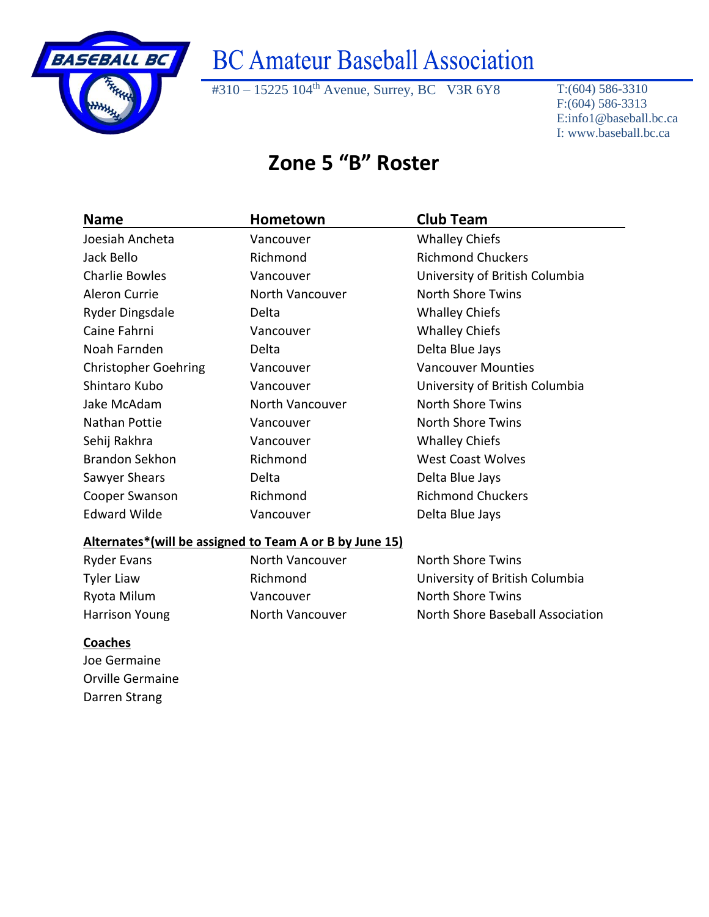

#310 – 15225 104<sup>th</sup> Avenue, Surrey, BC V3R 6Y8 T:(604) 586-3310

F:(604) 586-3313 E:info1@baseball.bc.ca I: www.baseball.bc.ca

### **Zone 5 "B" Roster**

| <b>Name</b>                                             | Hometown        | <b>Club Team</b>                 |
|---------------------------------------------------------|-----------------|----------------------------------|
| Joesiah Ancheta                                         | Vancouver       | <b>Whalley Chiefs</b>            |
| Jack Bello                                              | Richmond        | <b>Richmond Chuckers</b>         |
| <b>Charlie Bowles</b>                                   | Vancouver       | University of British Columbia   |
| <b>Aleron Currie</b>                                    | North Vancouver | <b>North Shore Twins</b>         |
| <b>Ryder Dingsdale</b>                                  | Delta           | <b>Whalley Chiefs</b>            |
| Caine Fahrni                                            | Vancouver       | <b>Whalley Chiefs</b>            |
| Noah Farnden                                            | Delta           | Delta Blue Jays                  |
| <b>Christopher Goehring</b>                             | Vancouver       | <b>Vancouver Mounties</b>        |
| Shintaro Kubo                                           | Vancouver       | University of British Columbia   |
| Jake McAdam                                             | North Vancouver | <b>North Shore Twins</b>         |
| <b>Nathan Pottie</b>                                    | Vancouver       | <b>North Shore Twins</b>         |
| Sehij Rakhra                                            | Vancouver       | <b>Whalley Chiefs</b>            |
| <b>Brandon Sekhon</b>                                   | Richmond        | <b>West Coast Wolves</b>         |
| Sawyer Shears                                           | Delta           | Delta Blue Jays                  |
| Cooper Swanson                                          | Richmond        | <b>Richmond Chuckers</b>         |
| <b>Edward Wilde</b>                                     | Vancouver       | Delta Blue Jays                  |
| Alternates*(will be assigned to Team A or B by June 15) |                 |                                  |
| <b>Ryder Evans</b>                                      | North Vancouver | <b>North Shore Twins</b>         |
| <b>Tyler Liaw</b>                                       | Richmond        | University of British Columbia   |
| Ryota Milum                                             | Vancouver       | <b>North Shore Twins</b>         |
| <b>Harrison Young</b>                                   | North Vancouver | North Shore Baseball Association |
| <b>Coaches</b>                                          |                 |                                  |
| Joe Germaine                                            |                 |                                  |
| Orville Germaine                                        |                 |                                  |
| Darren Strang                                           |                 |                                  |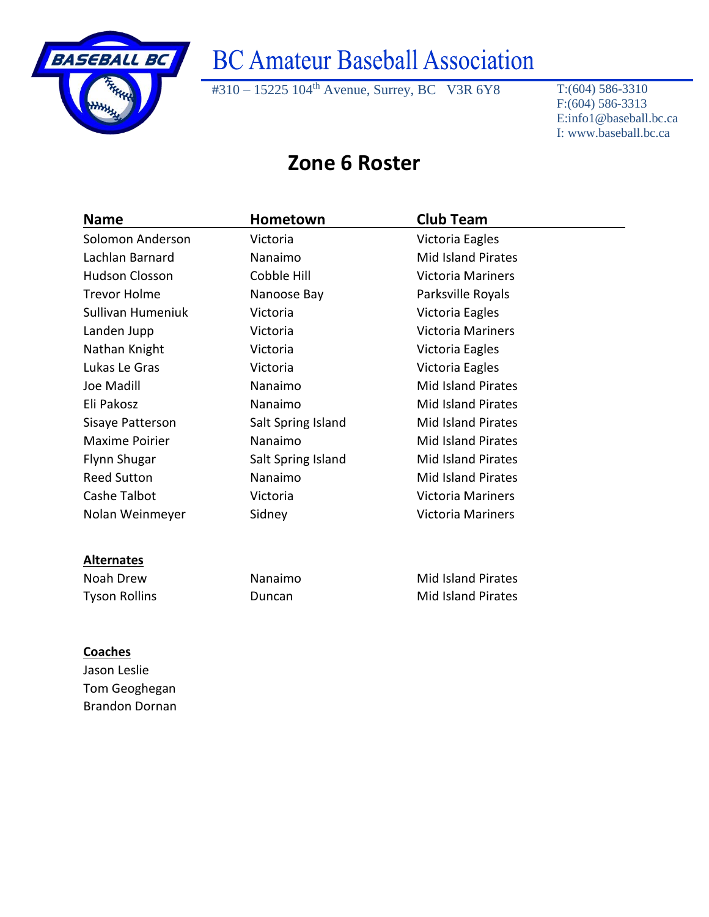

#310 – 15225 104th Avenue, Surrey, BC V3R 6Y8 T:(604) 586-3310

F:(604) 586-3313 E:info1@baseball.bc.ca I: www.baseball.bc.ca

#### **Zone 6 Roster**

| <b>Name</b>           | Hometown           | <b>Club Team</b>          |
|-----------------------|--------------------|---------------------------|
| Solomon Anderson      | Victoria           | Victoria Eagles           |
| Lachlan Barnard       | Nanaimo            | <b>Mid Island Pirates</b> |
| <b>Hudson Closson</b> | Cobble Hill        | <b>Victoria Mariners</b>  |
| <b>Trevor Holme</b>   | Nanoose Bay        | Parksville Royals         |
| Sullivan Humeniuk     | Victoria           | Victoria Eagles           |
| Landen Jupp           | Victoria           | Victoria Mariners         |
| Nathan Knight         | Victoria           | Victoria Eagles           |
| Lukas Le Gras         | Victoria           | Victoria Eagles           |
| Joe Madill            | Nanaimo            | <b>Mid Island Pirates</b> |
| Eli Pakosz            | Nanaimo            | <b>Mid Island Pirates</b> |
| Sisaye Patterson      | Salt Spring Island | <b>Mid Island Pirates</b> |
| <b>Maxime Poirier</b> | Nanaimo            | <b>Mid Island Pirates</b> |
| Flynn Shugar          | Salt Spring Island | <b>Mid Island Pirates</b> |
| <b>Reed Sutton</b>    | Nanaimo            | <b>Mid Island Pirates</b> |
| Cashe Talbot          | Victoria           | <b>Victoria Mariners</b>  |
| Nolan Weinmeyer       | Sidney             | <b>Victoria Mariners</b>  |
|                       |                    |                           |
| <b>Alternates</b>     |                    |                           |
| Noah Drew             | Nanaimo            | <b>Mid Island Pirates</b> |
| <b>Tyson Rollins</b>  | Duncan             | <b>Mid Island Pirates</b> |

#### **Coaches**

Jason Leslie Tom Geoghegan Brandon Dornan